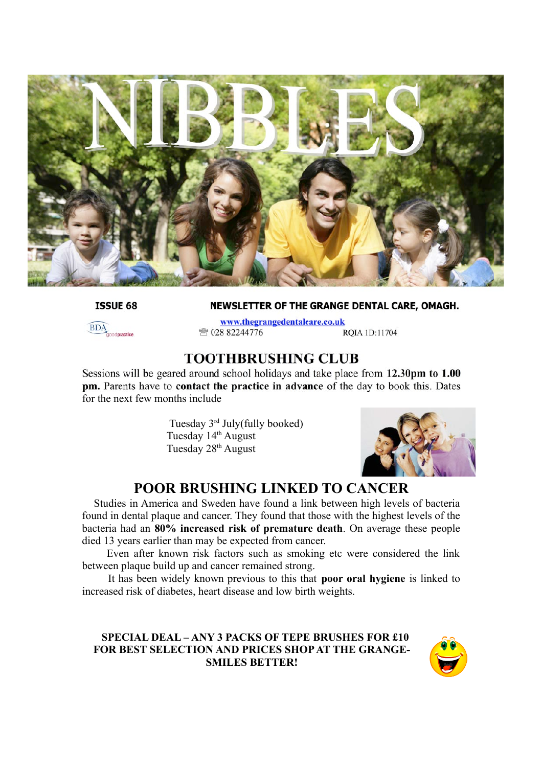

**ISSUE 68** 

NEWSLETTER OF THE GRANGE DENTAL CARE, OMAGH.



www.thegrangedentalcare.co.uk ☎ 028 82244776 ROIA 1D:11704

#### **TOOTHBRUSHING CLUB**

Sessions will be geared around school holidays and take place from 12.30pm to 1.00 pm. Parents have to contact the practice in advance of the day to book this. Dates for the next few months include

> Tuesday 3rd July(fully booked) Tuesday 14<sup>th</sup> August Tuesday 28<sup>th</sup> August



## **POOR BRUSHING LINKED TO CANCER**

Studies in America and Sweden have found a link between high levels of bacteria found in dental plaque and cancer. They found that those with the highest levels of the bacteria had an **80% increased risk of premature death**. On average these people died 13 years earlier than may be expected from cancer.

Even after known risk factors such as smoking etc were considered the link between plaque build up and cancer remained strong.

It has been widely known previous to this that **poor oral hygiene** is linked to increased risk of diabetes, heart disease and low birth weights.

#### **SPECIAL DEAL – ANY 3 PACKS OF TEPE BRUSHES FOR £10 FOR BEST SELECTION AND PRICES SHOP AT THE GRANGE-SMILES BETTER!**